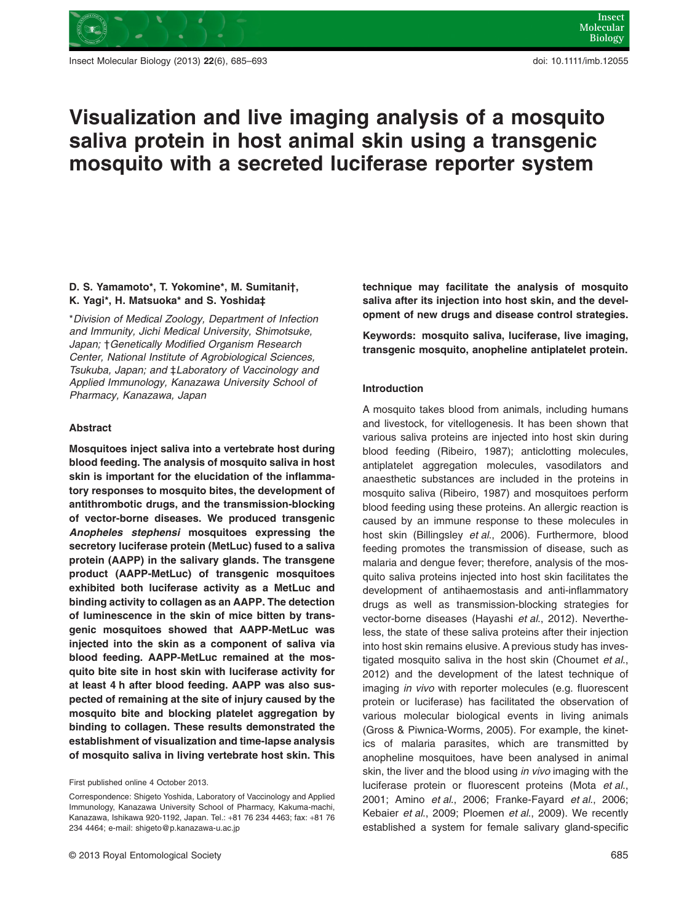

Insect Molecular Biology (2013) **22**(6), 685–693 doi: 10.1111/imb.12055

# **Visualization and live imaging analysis of a mosquito saliva protein in host animal skin using a transgenic mosquito with a secreted luciferase reporter system**

# **D. S. Yamamoto\*, T. Yokomine\*, M. Sumitani†, K. Yagi\*, H. Matsuoka\* and S. Yoshida‡**

\**Division of Medical Zoology, Department of Infection and Immunity, Jichi Medical University, Shimotsuke, Japan;* †*Genetically Modified Organism Research Center, National Institute of Agrobiological Sciences, Tsukuba, Japan; and* ‡*Laboratory of Vaccinology and Applied Immunology, Kanazawa University School of Pharmacy, Kanazawa, Japan*

# **Abstract**

**Mosquitoes inject saliva into a vertebrate host during blood feeding. The analysis of mosquito saliva in host skin is important for the elucidation of the inflammatory responses to mosquito bites, the development of antithrombotic drugs, and the transmission-blocking of vector-borne diseases. We produced transgenic** *Anopheles stephensi* **mosquitoes expressing the secretory luciferase protein (MetLuc) fused to a saliva protein (AAPP) in the salivary glands. The transgene product (AAPP-MetLuc) of transgenic mosquitoes exhibited both luciferase activity as a MetLuc and binding activity to collagen as an AAPP. The detection of luminescence in the skin of mice bitten by transgenic mosquitoes showed that AAPP-MetLuc was injected into the skin as a component of saliva via blood feeding. AAPP-MetLuc remained at the mosquito bite site in host skin with luciferase activity for at least 4 h after blood feeding. AAPP was also suspected of remaining at the site of injury caused by the mosquito bite and blocking platelet aggregation by binding to collagen. These results demonstrated the establishment of visualization and time-lapse analysis of mosquito saliva in living vertebrate host skin. This** **technique may facilitate the analysis of mosquito saliva after its injection into host skin, and the development of new drugs and disease control strategies.**

**Keywords: mosquito saliva, luciferase, live imaging, transgenic mosquito, anopheline antiplatelet protein.**

# **Introduction**

A mosquito takes blood from animals, including humans and livestock, for vitellogenesis. It has been shown that various saliva proteins are injected into host skin during blood feeding (Ribeiro, 1987); anticlotting molecules, antiplatelet aggregation molecules, vasodilators and anaesthetic substances are included in the proteins in mosquito saliva (Ribeiro, 1987) and mosquitoes perform blood feeding using these proteins. An allergic reaction is caused by an immune response to these molecules in host skin (Billingsley *et al*., 2006). Furthermore, blood feeding promotes the transmission of disease, such as malaria and dengue fever; therefore, analysis of the mosquito saliva proteins injected into host skin facilitates the development of antihaemostasis and anti-inflammatory drugs as well as transmission-blocking strategies for vector-borne diseases (Hayashi *et al*., 2012). Nevertheless, the state of these saliva proteins after their injection into host skin remains elusive. A previous study has investigated mosquito saliva in the host skin (Choumet *et al*., 2012) and the development of the latest technique of imaging *in vivo* with reporter molecules (e.g. fluorescent protein or luciferase) has facilitated the observation of various molecular biological events in living animals (Gross & Piwnica-Worms, 2005). For example, the kinetics of malaria parasites, which are transmitted by anopheline mosquitoes, have been analysed in animal skin, the liver and the blood using *in vivo* imaging with the luciferase protein or fluorescent proteins (Mota *et al*., 2001; Amino *et al*., 2006; Franke-Fayard *et al*., 2006; Kebaier *et al*., 2009; Ploemen *et al*., 2009). We recently established a system for female salivary gland-specific

First published online 4 October 2013.

Correspondence: Shigeto Yoshida, Laboratory of Vaccinology and Applied Immunology, Kanazawa University School of Pharmacy, Kakuma-machi, Kanazawa, Ishikawa 920-1192, Japan. Tel.: +81 76 234 4463; fax: +81 76 234 4464; e-mail: [shigeto@p.kanazawa-u.ac.jp](mailto:shigeto@p.kanazawa-u.ac.jp)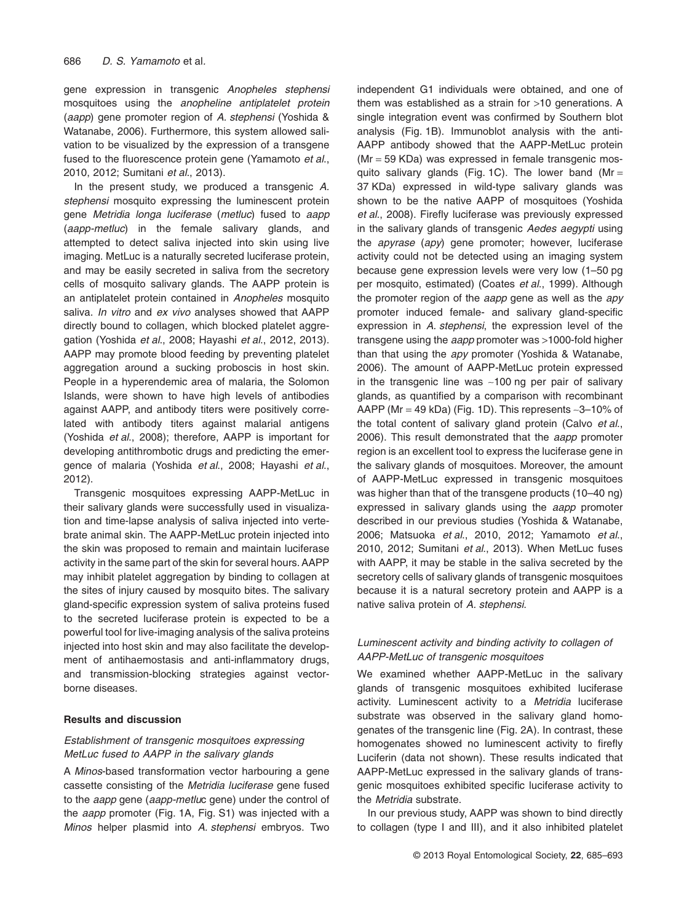gene expression in transgenic *Anopheles stephensi* mosquitoes using the *anopheline antiplatelet protein* (*aapp*) gene promoter region of *A. stephensi* (Yoshida & Watanabe, 2006). Furthermore, this system allowed salivation to be visualized by the expression of a transgene fused to the fluorescence protein gene (Yamamoto *et al*., 2010, 2012; Sumitani *et al*., 2013).

In the present study, we produced a transgenic *A. stephensi* mosquito expressing the luminescent protein gene *Metridia longa luciferase* (*metluc*) fused to *aapp* (*aapp-metluc*) in the female salivary glands, and attempted to detect saliva injected into skin using live imaging. MetLuc is a naturally secreted luciferase protein, and may be easily secreted in saliva from the secretory cells of mosquito salivary glands. The AAPP protein is an antiplatelet protein contained in *Anopheles* mosquito saliva. *In vitro* and *ex vivo* analyses showed that AAPP directly bound to collagen, which blocked platelet aggregation (Yoshida *et al*., 2008; Hayashi *et al*., 2012, 2013). AAPP may promote blood feeding by preventing platelet aggregation around a sucking proboscis in host skin. People in a hyperendemic area of malaria, the Solomon Islands, were shown to have high levels of antibodies against AAPP, and antibody titers were positively correlated with antibody titers against malarial antigens (Yoshida *et al*., 2008); therefore, AAPP is important for developing antithrombotic drugs and predicting the emergence of malaria (Yoshida *et al*., 2008; Hayashi *et al*., 2012).

Transgenic mosquitoes expressing AAPP-MetLuc in their salivary glands were successfully used in visualization and time-lapse analysis of saliva injected into vertebrate animal skin. The AAPP-MetLuc protein injected into the skin was proposed to remain and maintain luciferase activity in the same part of the skin for several hours. AAPP may inhibit platelet aggregation by binding to collagen at the sites of injury caused by mosquito bites. The salivary gland-specific expression system of saliva proteins fused to the secreted luciferase protein is expected to be a powerful tool for live-imaging analysis of the saliva proteins injected into host skin and may also facilitate the development of antihaemostasis and anti-inflammatory drugs, and transmission-blocking strategies against vectorborne diseases.

# **Results and discussion**

# *Establishment of transgenic mosquitoes expressing MetLuc fused to AAPP in the salivary glands*

A *Minos*-based transformation vector harbouring a gene cassette consisting of the *Metridia luciferase* gene fused to the *aapp* gene (*aapp-metlu*c gene) under the control of the *aapp* promoter (Fig. 1A, Fig. S1) was injected with a *Minos* helper plasmid into *A. stephensi* embryos. Two

independent G1 individuals were obtained, and one of them was established as a strain for >10 generations. A single integration event was confirmed by Southern blot analysis (Fig. 1B). Immunoblot analysis with the anti-AAPP antibody showed that the AAPP-MetLuc protein (Mr = 59 KDa) was expressed in female transgenic mosquito salivary glands (Fig. 1C). The lower band (Mr = 37 KDa) expressed in wild-type salivary glands was shown to be the native AAPP of mosquitoes (Yoshida *et al*., 2008). Firefly luciferase was previously expressed in the salivary glands of transgenic *Aedes aegypti* using the *apyrase* (*apy*) gene promoter; however, luciferase activity could not be detected using an imaging system because gene expression levels were very low (1–50 pg per mosquito, estimated) (Coates *et al*., 1999). Although the promoter region of the *aapp* gene as well as the *apy* promoter induced female- and salivary gland-specific expression in *A. stephensi*, the expression level of the transgene using the *aapp* promoter was >1000-fold higher than that using the *apy* promoter (Yoshida & Watanabe, 2006). The amount of AAPP-MetLuc protein expressed in the transgenic line was ∼100 ng per pair of salivary glands, as quantified by a comparison with recombinant AAPP (Mr = 49 kDa) (Fig. 1D). This represents ∼3–10% of the total content of salivary gland protein (Calvo *et al*., 2006). This result demonstrated that the *aapp* promoter region is an excellent tool to express the luciferase gene in the salivary glands of mosquitoes. Moreover, the amount of AAPP-MetLuc expressed in transgenic mosquitoes was higher than that of the transgene products (10–40 ng) expressed in salivary glands using the *aapp* promoter described in our previous studies (Yoshida & Watanabe, 2006; Matsuoka *et al*., 2010, 2012; Yamamoto *et al*., 2010, 2012; Sumitani *et al*., 2013). When MetLuc fuses with AAPP, it may be stable in the saliva secreted by the secretory cells of salivary glands of transgenic mosquitoes because it is a natural secretory protein and AAPP is a native saliva protein of *A. stephensi*.

# *Luminescent activity and binding activity to collagen of AAPP-MetLuc of transgenic mosquitoes*

We examined whether AAPP-MetLuc in the salivary glands of transgenic mosquitoes exhibited luciferase activity. Luminescent activity to a *Metridia* luciferase substrate was observed in the salivary gland homogenates of the transgenic line (Fig. 2A). In contrast, these homogenates showed no luminescent activity to firefly Luciferin (data not shown). These results indicated that AAPP-MetLuc expressed in the salivary glands of transgenic mosquitoes exhibited specific luciferase activity to the *Metridia* substrate.

In our previous study, AAPP was shown to bind directly to collagen (type I and III), and it also inhibited platelet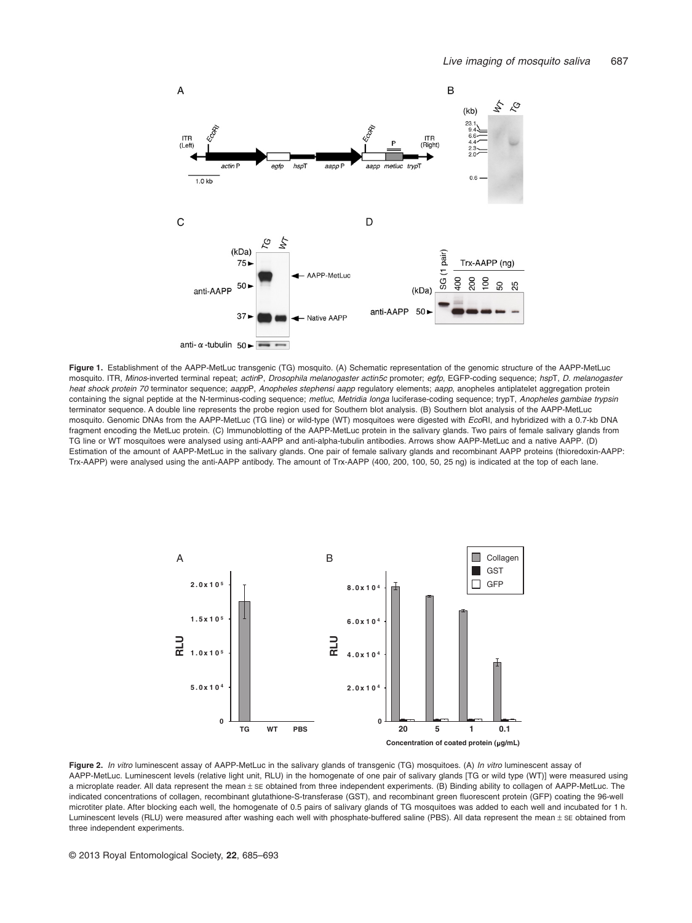

**Figure 1.** Establishment of the AAPP-MetLuc transgenic (TG) mosquito. (A) Schematic representation of the genomic structure of the AAPP-MetLuc mosquito. ITR, *Minos*-inverted terminal repeat; *actin*P, *Drosophila melanogaster actin5c* promoter; *egfp*, EGFP-coding sequence; *hsp*T, *D. melanogaster heat shock protein 70* terminator sequence; *aapp*P, *Anopheles stephensi aapp* regulatory elements; *aapp*, anopheles antiplatelet aggregation protein containing the signal peptide at the N-terminus-coding sequence; *metluc*, *Metridia longa* luciferase-coding sequence; trypT, *Anopheles gambiae trypsin* terminator sequence. A double line represents the probe region used for Southern blot analysis. (B) Southern blot analysis of the AAPP-MetLuc mosquito. Genomic DNAs from the AAPP-MetLuc (TG line) or wild-type (WT) mosquitoes were digested with *Eco*RI, and hybridized with a 0.7-kb DNA fragment encoding the MetLuc protein. (C) Immunoblotting of the AAPP-MetLuc protein in the salivary glands. Two pairs of female salivary glands from TG line or WT mosquitoes were analysed using anti-AAPP and anti-alpha-tubulin antibodies. Arrows show AAPP-MetLuc and a native AAPP. (D) Estimation of the amount of AAPP-MetLuc in the salivary glands. One pair of female salivary glands and recombinant AAPP proteins (thioredoxin-AAPP: Trx-AAPP) were analysed using the anti-AAPP antibody. The amount of Trx-AAPP (400, 200, 100, 50, 25 ng) is indicated at the top of each lane.



**Figure 2.** *In vitro* luminescent assay of AAPP-MetLuc in the salivary glands of transgenic (TG) mosquitoes. (A) *In vitro* luminescent assay of AAPP-MetLuc. Luminescent levels (relative light unit, RLU) in the homogenate of one pair of salivary glands [TG or wild type (WT)] were measured using a microplate reader. All data represent the mean ± SE obtained from three independent experiments. (B) Binding ability to collagen of AAPP-MetLuc. The indicated concentrations of collagen, recombinant glutathione-S-transferase (GST), and recombinant green fluorescent protein (GFP) coating the 96-well microtiter plate. After blocking each well, the homogenate of 0.5 pairs of salivary glands of TG mosquitoes was added to each well and incubated for 1 h. Luminescent levels (RLU) were measured after washing each well with phosphate-buffered saline (PBS). All data represent the mean ± SE obtained from three independent experiments.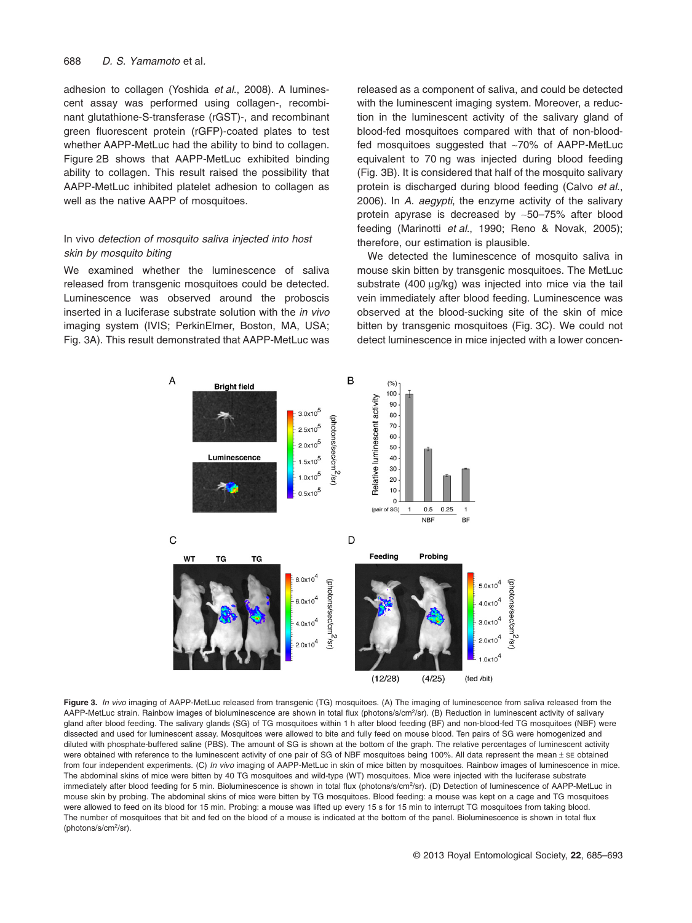adhesion to collagen (Yoshida *et al*., 2008). A luminescent assay was performed using collagen-, recombinant glutathione-S-transferase (rGST)-, and recombinant green fluorescent protein (rGFP)-coated plates to test whether AAPP-MetLuc had the ability to bind to collagen. Figure 2B shows that AAPP-MetLuc exhibited binding ability to collagen. This result raised the possibility that AAPP-MetLuc inhibited platelet adhesion to collagen as well as the native AAPP of mosquitoes.

# In vivo *detection of mosquito saliva injected into host skin by mosquito biting*

We examined whether the luminescence of saliva released from transgenic mosquitoes could be detected. Luminescence was observed around the proboscis inserted in a luciferase substrate solution with the *in vivo* imaging system (IVIS; PerkinElmer, Boston, MA, USA; Fig. 3A). This result demonstrated that AAPP-MetLuc was

released as a component of saliva, and could be detected with the luminescent imaging system. Moreover, a reduction in the luminescent activity of the salivary gland of blood-fed mosquitoes compared with that of non-bloodfed mosquitoes suggested that ∼70% of AAPP-MetLuc equivalent to 70 ng was injected during blood feeding (Fig. 3B). It is considered that half of the mosquito salivary protein is discharged during blood feeding (Calvo *et al*., 2006). In *A. aegypti*, the enzyme activity of the salivary protein apyrase is decreased by ∼50–75% after blood feeding (Marinotti *et al*., 1990; Reno & Novak, 2005); therefore, our estimation is plausible.

We detected the luminescence of mosquito saliva in mouse skin bitten by transgenic mosquitoes. The MetLuc substrate (400 μg/kg) was injected into mice via the tail vein immediately after blood feeding. Luminescence was observed at the blood-sucking site of the skin of mice bitten by transgenic mosquitoes (Fig. 3C). We could not detect luminescence in mice injected with a lower concen-



**Figure 3.** *In vivo* imaging of AAPP-MetLuc released from transgenic (TG) mosquitoes. (A) The imaging of luminescence from saliva released from the AAPP-MetLuc strain. Rainbow images of bioluminescence are shown in total flux (photons/s/cm<sup>2</sup>/sr). (B) Reduction in luminescent activity of salivary gland after blood feeding. The salivary glands (SG) of TG mosquitoes within 1 h after blood feeding (BF) and non-blood-fed TG mosquitoes (NBF) were dissected and used for luminescent assay. Mosquitoes were allowed to bite and fully feed on mouse blood. Ten pairs of SG were homogenized and diluted with phosphate-buffered saline (PBS). The amount of SG is shown at the bottom of the graph. The relative percentages of luminescent activity were obtained with reference to the luminescent activity of one pair of SG of NBF mosquitoes being 100%. All data represent the mean ± SE obtained from four independent experiments. (C) *In vivo* imaging of AAPP-MetLuc in skin of mice bitten by mosquitoes. Rainbow images of luminescence in mice. The abdominal skins of mice were bitten by 40 TG mosquitoes and wild-type (WT) mosquitoes. Mice were injected with the luciferase substrate immediately after blood feeding for 5 min. Bioluminescence is shown in total flux (photons/s/cm<sup>2</sup>/sr). (D) Detection of luminescence of AAPP-MetLuc in mouse skin by probing. The abdominal skins of mice were bitten by TG mosquitoes. Blood feeding: a mouse was kept on a cage and TG mosquitoes were allowed to feed on its blood for 15 min. Probing: a mouse was lifted up every 15 s for 15 min to interrupt TG mosquitoes from taking blood. The number of mosquitoes that bit and fed on the blood of a mouse is indicated at the bottom of the panel. Bioluminescence is shown in total flux (photons/s/cm2/sr).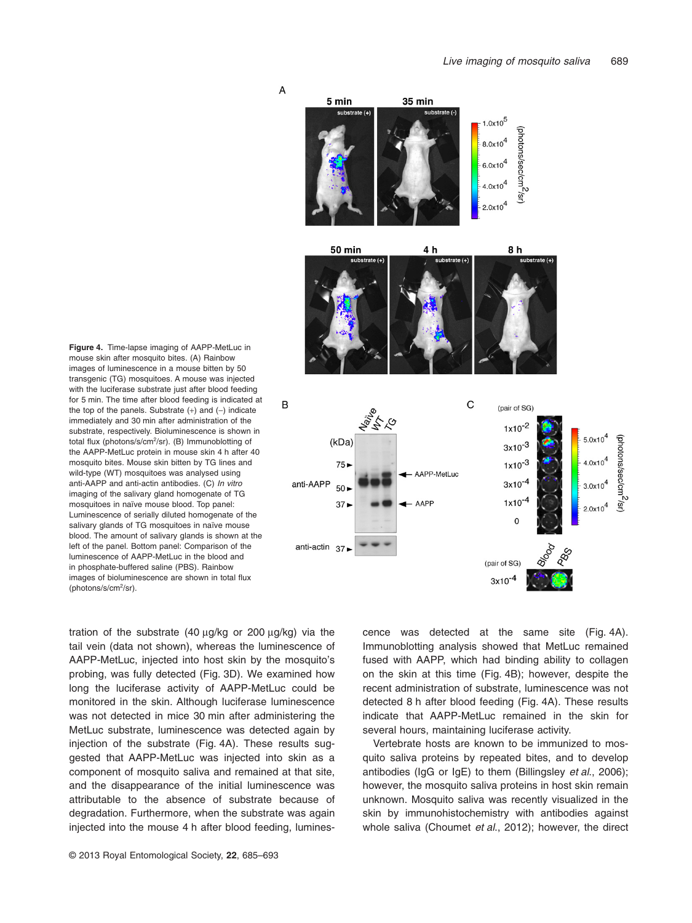

**Figure 4.** Time-lapse imaging of AAPP-MetLuc in mouse skin after mosquito bites. (A) Rainbow images of luminescence in a mouse bitten by 50 transgenic (TG) mosquitoes. A mouse was injected with the luciferase substrate just after blood feeding for 5 min. The time after blood feeding is indicated at the top of the panels. Substrate (+) and (−) indicate immediately and 30 min after administration of the substrate, respectively. Bioluminescence is shown in total flux (photons/s/cm2/sr). (B) Immunoblotting of the AAPP-MetLuc protein in mouse skin 4 h after 40 mosquito bites. Mouse skin bitten by TG lines and wild-type (WT) mosquitoes was analysed using anti-AAPP and anti-actin antibodies. (C) *In vitro* imaging of the salivary gland homogenate of TG mosquitoes in naïve mouse blood. Top panel: Luminescence of serially diluted homogenate of the salivary glands of TG mosquitoes in naïve mouse blood. The amount of salivary glands is shown at the left of the panel. Bottom panel: Comparison of the luminescence of AAPP-MetLuc in the blood and in phosphate-buffered saline (PBS). Rainbow images of bioluminescence are shown in total flux (photons/s/cm2/sr).

tration of the substrate (40 μg/kg or 200 μg/kg) via the tail vein (data not shown), whereas the luminescence of AAPP-MetLuc, injected into host skin by the mosquito's probing, was fully detected (Fig. 3D). We examined how long the luciferase activity of AAPP-MetLuc could be monitored in the skin. Although luciferase luminescence was not detected in mice 30 min after administering the MetLuc substrate, luminescence was detected again by injection of the substrate (Fig. 4A). These results suggested that AAPP-MetLuc was injected into skin as a component of mosquito saliva and remained at that site, and the disappearance of the initial luminescence was attributable to the absence of substrate because of degradation. Furthermore, when the substrate was again injected into the mouse 4 h after blood feeding, luminescence was detected at the same site (Fig. 4A). Immunoblotting analysis showed that MetLuc remained fused with AAPP, which had binding ability to collagen on the skin at this time (Fig. 4B); however, despite the recent administration of substrate, luminescence was not detected 8 h after blood feeding (Fig. 4A). These results indicate that AAPP-MetLuc remained in the skin for several hours, maintaining luciferase activity.

Vertebrate hosts are known to be immunized to mosquito saliva proteins by repeated bites, and to develop antibodies (IgG or IgE) to them (Billingsley *et al*., 2006); however, the mosquito saliva proteins in host skin remain unknown. Mosquito saliva was recently visualized in the skin by immunohistochemistry with antibodies against whole saliva (Choumet *et al*., 2012); however, the direct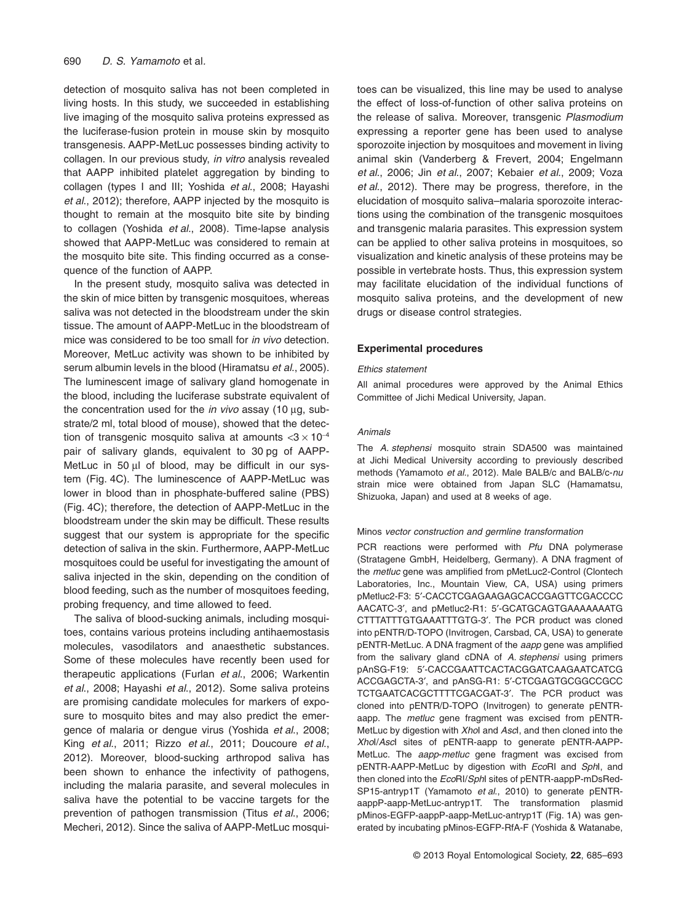detection of mosquito saliva has not been completed in living hosts. In this study, we succeeded in establishing live imaging of the mosquito saliva proteins expressed as the luciferase-fusion protein in mouse skin by mosquito transgenesis. AAPP-MetLuc possesses binding activity to collagen. In our previous study, *in vitro* analysis revealed that AAPP inhibited platelet aggregation by binding to collagen (types I and III; Yoshida *et al*., 2008; Hayashi *et al*., 2012); therefore, AAPP injected by the mosquito is thought to remain at the mosquito bite site by binding to collagen (Yoshida *et al*., 2008). Time-lapse analysis showed that AAPP-MetLuc was considered to remain at the mosquito bite site. This finding occurred as a consequence of the function of AAPP.

In the present study, mosquito saliva was detected in the skin of mice bitten by transgenic mosquitoes, whereas saliva was not detected in the bloodstream under the skin tissue. The amount of AAPP-MetLuc in the bloodstream of mice was considered to be too small for *in vivo* detection. Moreover, MetLuc activity was shown to be inhibited by serum albumin levels in the blood (Hiramatsu *et al*., 2005). The luminescent image of salivary gland homogenate in the blood, including the luciferase substrate equivalent of the concentration used for the *in vivo* assay (10 μg, substrate/2 ml, total blood of mouse), showed that the detection of transgenic mosquito saliva at amounts  $<$ 3 × 10<sup>-4</sup> pair of salivary glands, equivalent to 30 pg of AAPP-MetLuc in 50 μl of blood, may be difficult in our system (Fig. 4C). The luminescence of AAPP-MetLuc was lower in blood than in phosphate-buffered saline (PBS) (Fig. 4C); therefore, the detection of AAPP-MetLuc in the bloodstream under the skin may be difficult. These results suggest that our system is appropriate for the specific detection of saliva in the skin. Furthermore, AAPP-MetLuc mosquitoes could be useful for investigating the amount of saliva injected in the skin, depending on the condition of blood feeding, such as the number of mosquitoes feeding, probing frequency, and time allowed to feed.

The saliva of blood-sucking animals, including mosquitoes, contains various proteins including antihaemostasis molecules, vasodilators and anaesthetic substances. Some of these molecules have recently been used for therapeutic applications (Furlan *et al*., 2006; Warkentin *et al*., 2008; Hayashi *et al*., 2012). Some saliva proteins are promising candidate molecules for markers of exposure to mosquito bites and may also predict the emergence of malaria or dengue virus (Yoshida *et al*., 2008; King *et al*., 2011; Rizzo *et al*., 2011; Doucoure *et al*., 2012). Moreover, blood-sucking arthropod saliva has been shown to enhance the infectivity of pathogens, including the malaria parasite, and several molecules in saliva have the potential to be vaccine targets for the prevention of pathogen transmission (Titus *et al*., 2006; Mecheri, 2012). Since the saliva of AAPP-MetLuc mosquitoes can be visualized, this line may be used to analyse the effect of loss-of-function of other saliva proteins on the release of saliva. Moreover, transgenic *Plasmodium* expressing a reporter gene has been used to analyse sporozoite injection by mosquitoes and movement in living animal skin (Vanderberg & Frevert, 2004; Engelmann *et al*., 2006; Jin *et al*., 2007; Kebaier *et al*., 2009; Voza *et al*., 2012). There may be progress, therefore, in the elucidation of mosquito saliva–malaria sporozoite interactions using the combination of the transgenic mosquitoes and transgenic malaria parasites. This expression system can be applied to other saliva proteins in mosquitoes, so visualization and kinetic analysis of these proteins may be possible in vertebrate hosts. Thus, this expression system may facilitate elucidation of the individual functions of mosquito saliva proteins, and the development of new drugs or disease control strategies.

## **Experimental procedures**

#### *Ethics statement*

All animal procedures were approved by the Animal Ethics Committee of Jichi Medical University, Japan.

#### *Animals*

The *A. stephensi* mosquito strain SDA500 was maintained at Jichi Medical University according to previously described methods (Yamamoto *et al*., 2012). Male BALB/c and BALB/c-*nu* strain mice were obtained from Japan SLC (Hamamatsu, Shizuoka, Japan) and used at 8 weeks of age.

#### Minos *vector construction and germline transformation*

PCR reactions were performed with *Pfu* DNA polymerase (Stratagene GmbH, Heidelberg, Germany). A DNA fragment of the *metluc* gene was amplified from pMetLuc2-Control (Clontech Laboratories, Inc., Mountain View, CA, USA) using primers pMetluc2-F3: 5′-CACCTCGAGAAGAGCACCGAGTTCGACCCC AACATC-3′, and pMetluc2-R1: 5′-GCATGCAGTGAAAAAAATG CTTTATTTGTGAAATTTGTG-3′. The PCR product was cloned into pENTR/D-TOPO (Invitrogen, Carsbad, CA, USA) to generate pENTR-MetLuc. A DNA fragment of the *aapp* gene was amplified from the salivary gland cDNA of *A. stephensi* using primers pAnSG-F19: 5′-CACCGAATTCACTACGGATCAAGAATCATCG ACCGAGCTA-3′, and pAnSG-R1: 5′-CTCGAGTGCGGCCGCC TCTGAATCACGCTTTTCGACGAT-3′. The PCR product was cloned into pENTR/D-TOPO (Invitrogen) to generate pENTRaapp. The *metluc* gene fragment was excised from pENTR-MetLuc by digestion with *Xho*I and *Asc*I, and then cloned into the *Xho*I/*Asc*I sites of pENTR-aapp to generate pENTR-AAPP-MetLuc. The *aapp*-*metluc* gene fragment was excised from pENTR-AAPP-MetLuc by digestion with *Eco*RI and *Sph*I, and then cloned into the *Eco*RI/*Sph*I sites of pENTR-aappP-mDsRed-SP15-antryp1T (Yamamoto *et al*., 2010) to generate pENTRaappP-aapp-MetLuc-antryp1T. The transformation plasmid pMinos-EGFP-aappP-aapp-MetLuc-antryp1T (Fig. 1A) was generated by incubating pMinos-EGFP-RfA-F (Yoshida & Watanabe,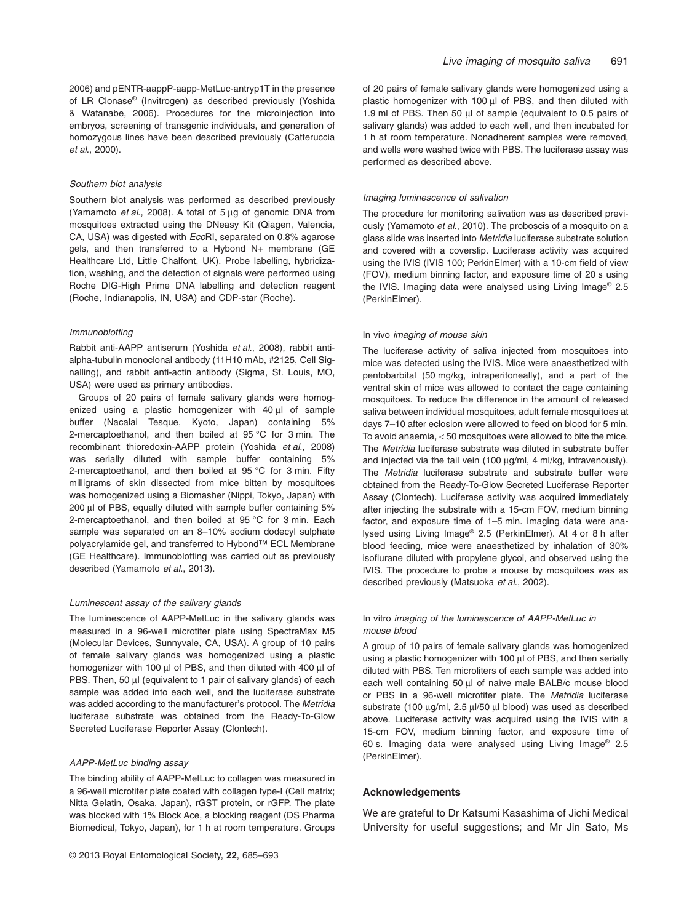2006) and pENTR-aappP-aapp-MetLuc-antryp1T in the presence of LR Clonase® (Invitrogen) as described previously (Yoshida & Watanabe, 2006). Procedures for the microinjection into embryos, screening of transgenic individuals, and generation of homozygous lines have been described previously (Catteruccia *et al*., 2000).

#### *Southern blot analysis*

Southern blot analysis was performed as described previously (Yamamoto *et al*., 2008). A total of 5 μg of genomic DNA from mosquitoes extracted using the DNeasy Kit (Qiagen, Valencia, CA, USA) was digested with *Eco*RI, separated on 0.8% agarose gels, and then transferred to a Hybond N+ membrane (GE Healthcare Ltd, Little Chalfont, UK). Probe labelling, hybridization, washing, and the detection of signals were performed using Roche DIG-High Prime DNA labelling and detection reagent (Roche, Indianapolis, IN, USA) and CDP-star (Roche).

## *Immunoblotting*

Rabbit anti-AAPP antiserum (Yoshida *et al*., 2008), rabbit antialpha-tubulin monoclonal antibody (11H10 mAb, #2125, Cell Signalling), and rabbit anti-actin antibody (Sigma, St. Louis, MO, USA) were used as primary antibodies.

Groups of 20 pairs of female salivary glands were homogenized using a plastic homogenizer with 40 μl of sample buffer (Nacalai Tesque, Kyoto, Japan) containing 5% 2-mercaptoethanol, and then boiled at 95 °C for 3 min. The recombinant thioredoxin-AAPP protein (Yoshida *et al*., 2008) was serially diluted with sample buffer containing 5% 2-mercaptoethanol, and then boiled at 95 °C for 3 min. Fifty milligrams of skin dissected from mice bitten by mosquitoes was homogenized using a Biomasher (Nippi, Tokyo, Japan) with 200 μl of PBS, equally diluted with sample buffer containing 5% 2-mercaptoethanol, and then boiled at 95 °C for 3 min. Each sample was separated on an 8–10% sodium dodecyl sulphate polyacrylamide gel, and transferred to Hybond™ ECL Membrane (GE Healthcare). Immunoblotting was carried out as previously described (Yamamoto *et al*., 2013).

#### *Luminescent assay of the salivary glands*

The luminescence of AAPP-MetLuc in the salivary glands was measured in a 96-well microtiter plate using SpectraMax M5 (Molecular Devices, Sunnyvale, CA, USA). A group of 10 pairs of female salivary glands was homogenized using a plastic homogenizer with 100 μl of PBS, and then diluted with 400 μl of PBS. Then, 50 μl (equivalent to 1 pair of salivary glands) of each sample was added into each well, and the luciferase substrate was added according to the manufacturer's protocol. The *Metridia* luciferase substrate was obtained from the Ready-To-Glow Secreted Luciferase Reporter Assay (Clontech).

#### *AAPP-MetLuc binding assay*

The binding ability of AAPP-MetLuc to collagen was measured in a 96-well microtiter plate coated with collagen type-I (Cell matrix; Nitta Gelatin, Osaka, Japan), rGST protein, or rGFP. The plate was blocked with 1% Block Ace, a blocking reagent (DS Pharma Biomedical, Tokyo, Japan), for 1 h at room temperature. Groups

of 20 pairs of female salivary glands were homogenized using a plastic homogenizer with 100 μl of PBS, and then diluted with 1.9 ml of PBS. Then 50 μl of sample (equivalent to 0.5 pairs of salivary glands) was added to each well, and then incubated for 1 h at room temperature. Nonadherent samples were removed, and wells were washed twice with PBS. The luciferase assay was performed as described above.

#### *Imaging luminescence of salivation*

The procedure for monitoring salivation was as described previously (Yamamoto *et al*., 2010). The proboscis of a mosquito on a glass slide was inserted into *Metridia* luciferase substrate solution and covered with a coverslip. Luciferase activity was acquired using the IVIS (IVIS 100; PerkinElmer) with a 10-cm field of view (FOV), medium binning factor, and exposure time of 20 s using the IVIS. Imaging data were analysed using Living Image® 2.5 (PerkinElmer).

#### In vivo *imaging of mouse skin*

The luciferase activity of saliva injected from mosquitoes into mice was detected using the IVIS. Mice were anaesthetized with pentobarbital (50 mg/kg, intraperitoneally), and a part of the ventral skin of mice was allowed to contact the cage containing mosquitoes. To reduce the difference in the amount of released saliva between individual mosquitoes, adult female mosquitoes at days 7–10 after eclosion were allowed to feed on blood for 5 min. To avoid anaemia, < 50 mosquitoes were allowed to bite the mice. The *Metridia* luciferase substrate was diluted in substrate buffer and injected via the tail vein (100 μg/ml, 4 ml/kg, intravenously). The *Metridia* luciferase substrate and substrate buffer were obtained from the Ready-To-Glow Secreted Luciferase Reporter Assay (Clontech). Luciferase activity was acquired immediately after injecting the substrate with a 15-cm FOV, medium binning factor, and exposure time of 1–5 min. Imaging data were analysed using Living Image® 2.5 (PerkinElmer). At 4 or 8 h after blood feeding, mice were anaesthetized by inhalation of 30% isoflurane diluted with propylene glycol, and observed using the IVIS. The procedure to probe a mouse by mosquitoes was as described previously (Matsuoka *et al*., 2002).

## In vitro *imaging of the luminescence of AAPP-MetLuc in mouse blood*

A group of 10 pairs of female salivary glands was homogenized using a plastic homogenizer with 100 μl of PBS, and then serially diluted with PBS. Ten microliters of each sample was added into each well containing 50 μl of naïve male BALB/c mouse blood or PBS in a 96-well microtiter plate. The *Metridia* luciferase substrate (100 μg/ml, 2.5 μl/50 μl blood) was used as described above. Luciferase activity was acquired using the IVIS with a 15-cm FOV, medium binning factor, and exposure time of 60 s. Imaging data were analysed using Living Image® 2.5 (PerkinElmer).

#### **Acknowledgements**

We are grateful to Dr Katsumi Kasashima of Jichi Medical University for useful suggestions; and Mr Jin Sato, Ms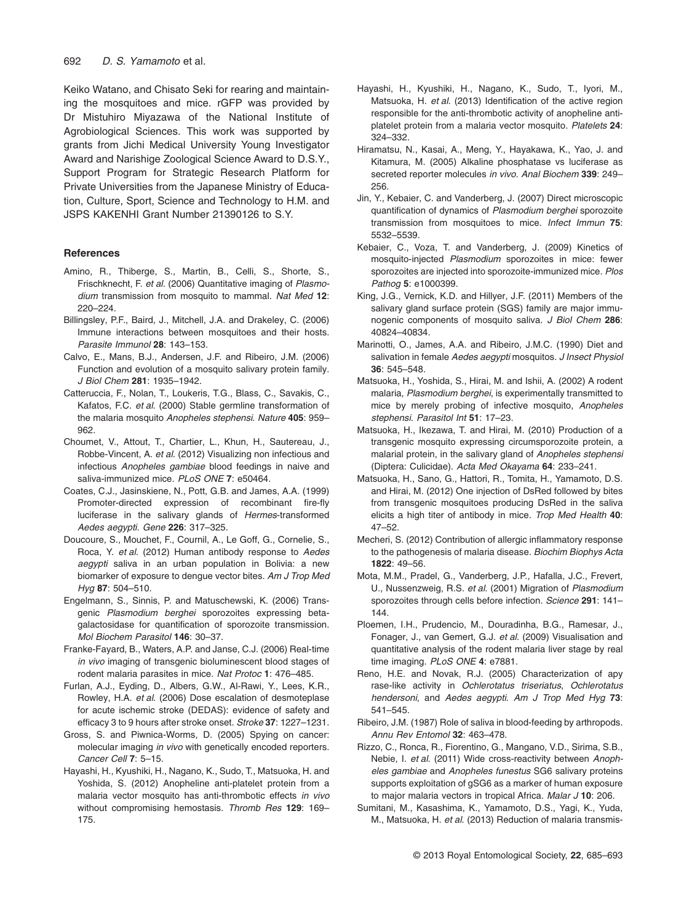Keiko Watano, and Chisato Seki for rearing and maintaining the mosquitoes and mice. rGFP was provided by Dr Mistuhiro Miyazawa of the National Institute of Agrobiological Sciences. This work was supported by grants from Jichi Medical University Young Investigator Award and Narishige Zoological Science Award to D.S.Y., Support Program for Strategic Research Platform for Private Universities from the Japanese Ministry of Education, Culture, Sport, Science and Technology to H.M. and JSPS KAKENHI Grant Number 21390126 to S.Y.

#### **References**

- Amino, R., Thiberge, S., Martin, B., Celli, S., Shorte, S., Frischknecht, F. *et al*. (2006) Quantitative imaging of *Plasmodium* transmission from mosquito to mammal. *Nat Med* **12**: 220–224.
- Billingsley, P.F., Baird, J., Mitchell, J.A. and Drakeley, C. (2006) Immune interactions between mosquitoes and their hosts. *Parasite Immunol* **28**: 143–153.
- Calvo, E., Mans, B.J., Andersen, J.F. and Ribeiro, J.M. (2006) Function and evolution of a mosquito salivary protein family. *J Biol Chem* **281**: 1935–1942.
- Catteruccia, F., Nolan, T., Loukeris, T.G., Blass, C., Savakis, C., Kafatos, F.C. *et al*. (2000) Stable germline transformation of the malaria mosquito *Anopheles stephensi*. *Nature* **405**: 959– 962.
- Choumet, V., Attout, T., Chartier, L., Khun, H., Sautereau, J., Robbe-Vincent, A. *et al*. (2012) Visualizing non infectious and infectious *Anopheles gambiae* blood feedings in naive and saliva-immunized mice. *PLoS ONE* **7**: e50464.
- Coates, C.J., Jasinskiene, N., Pott, G.B. and James, A.A. (1999) Promoter-directed expression of recombinant fire-fly luciferase in the salivary glands of *Hermes*-transformed *Aedes aegypti*. *Gene* **226**: 317–325.
- Doucoure, S., Mouchet, F., Cournil, A., Le Goff, G., Cornelie, S., Roca, Y. *et al*. (2012) Human antibody response to *Aedes aegypti* saliva in an urban population in Bolivia: a new biomarker of exposure to dengue vector bites. *Am J Trop Med Hyg* **87**: 504–510.
- Engelmann, S., Sinnis, P. and Matuschewski, K. (2006) Transgenic *Plasmodium berghei* sporozoites expressing betagalactosidase for quantification of sporozoite transmission. *Mol Biochem Parasitol* **146**: 30–37.
- Franke-Fayard, B., Waters, A.P. and Janse, C.J. (2006) Real-time *in vivo* imaging of transgenic bioluminescent blood stages of rodent malaria parasites in mice. *Nat Protoc* **1**: 476–485.
- Furlan, A.J., Eyding, D., Albers, G.W., Al-Rawi, Y., Lees, K.R., Rowley, H.A. *et al*. (2006) Dose escalation of desmoteplase for acute ischemic stroke (DEDAS): evidence of safety and efficacy 3 to 9 hours after stroke onset. *Stroke* **37**: 1227–1231.
- Gross, S. and Piwnica-Worms, D. (2005) Spying on cancer: molecular imaging *in vivo* with genetically encoded reporters. *Cancer Cell* **7**: 5–15.
- Hayashi, H., Kyushiki, H., Nagano, K., Sudo, T., Matsuoka, H. and Yoshida, S. (2012) Anopheline anti-platelet protein from a malaria vector mosquito has anti-thrombotic effects *in vivo* without compromising hemostasis. *Thromb Res* **129**: 169– 175.
- Hayashi, H., Kyushiki, H., Nagano, K., Sudo, T., Iyori, M., Matsuoka, H. *et al*. (2013) Identification of the active region responsible for the anti-thrombotic activity of anopheline antiplatelet protein from a malaria vector mosquito. *Platelets* **24**: 324–332.
- Hiramatsu, N., Kasai, A., Meng, Y., Hayakawa, K., Yao, J. and Kitamura, M. (2005) Alkaline phosphatase vs luciferase as secreted reporter molecules *in vivo*. *Anal Biochem* **339**: 249– 256.
- Jin, Y., Kebaier, C. and Vanderberg, J. (2007) Direct microscopic quantification of dynamics of *Plasmodium berghei* sporozoite transmission from mosquitoes to mice. *Infect Immun* **75**: 5532–5539.
- Kebaier, C., Voza, T. and Vanderberg, J. (2009) Kinetics of mosquito-injected *Plasmodium* sporozoites in mice: fewer sporozoites are injected into sporozoite-immunized mice. *Plos Pathog* **5**: e1000399.
- King, J.G., Vernick, K.D. and Hillyer, J.F. (2011) Members of the salivary gland surface protein (SGS) family are major immunogenic components of mosquito saliva. *J Biol Chem* **286**: 40824–40834.
- Marinotti, O., James, A.A. and Ribeiro, J.M.C. (1990) Diet and salivation in female *Aedes aegypti* mosquitos. *J Insect Physiol* **36**: 545–548.
- Matsuoka, H., Yoshida, S., Hirai, M. and Ishii, A. (2002) A rodent malaria, *Plasmodium berghei*, is experimentally transmitted to mice by merely probing of infective mosquito, *Anopheles stephensi*. *Parasitol Int* **51**: 17–23.
- Matsuoka, H., Ikezawa, T. and Hirai, M. (2010) Production of a transgenic mosquito expressing circumsporozoite protein, a malarial protein, in the salivary gland of *Anopheles stephensi* (Diptera: Culicidae). *Acta Med Okayama* **64**: 233–241.
- Matsuoka, H., Sano, G., Hattori, R., Tomita, H., Yamamoto, D.S. and Hirai, M. (2012) One injection of DsRed followed by bites from transgenic mosquitoes producing DsRed in the saliva elicits a high titer of antibody in mice. *Trop Med Health* **40**: 47–52.
- Mecheri, S. (2012) Contribution of allergic inflammatory response to the pathogenesis of malaria disease. *Biochim Biophys Acta* **1822**: 49–56.
- Mota, M.M., Pradel, G., Vanderberg, J.P., Hafalla, J.C., Frevert, U., Nussenzweig, R.S. *et al*. (2001) Migration of *Plasmodium* sporozoites through cells before infection. *Science* **291**: 141– 144.
- Ploemen, I.H., Prudencio, M., Douradinha, B.G., Ramesar, J., Fonager, J., van Gemert, G.J. *et al*. (2009) Visualisation and quantitative analysis of the rodent malaria liver stage by real time imaging. *PLoS ONE* **4**: e7881.
- Reno, H.E. and Novak, R.J. (2005) Characterization of apy rase-like activity in *Ochlerotatus triseriatus*, *Ochlerotatus hendersoni*, and *Aedes aegypti*. *Am J Trop Med Hyg* **73**: 541–545.
- Ribeiro, J.M. (1987) Role of saliva in blood-feeding by arthropods. *Annu Rev Entomol* **32**: 463–478.
- Rizzo, C., Ronca, R., Fiorentino, G., Mangano, V.D., Sirima, S.B., Nebie, I. *et al*. (2011) Wide cross-reactivity between *Anopheles gambiae* and *Anopheles funestus* SG6 salivary proteins supports exploitation of gSG6 as a marker of human exposure to major malaria vectors in tropical Africa. *Malar J* **10**: 206.
- Sumitani, M., Kasashima, K., Yamamoto, D.S., Yagi, K., Yuda, M., Matsuoka, H. *et al*. (2013) Reduction of malaria transmis-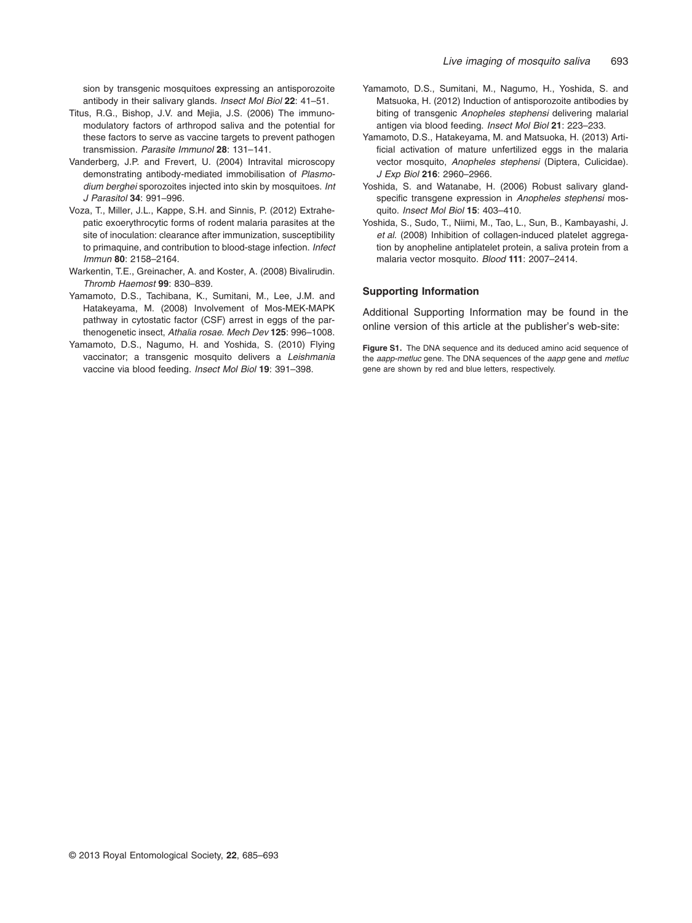sion by transgenic mosquitoes expressing an antisporozoite antibody in their salivary glands. *Insect Mol Biol* **22**: 41–51.

- Titus, R.G., Bishop, J.V. and Mejia, J.S. (2006) The immunomodulatory factors of arthropod saliva and the potential for these factors to serve as vaccine targets to prevent pathogen transmission. *Parasite Immunol* **28**: 131–141.
- Vanderberg, J.P. and Frevert, U. (2004) Intravital microscopy demonstrating antibody-mediated immobilisation of *Plasmodium berghei* sporozoites injected into skin by mosquitoes. *Int J Parasitol* **34**: 991–996.
- Voza, T., Miller, J.L., Kappe, S.H. and Sinnis, P. (2012) Extrahepatic exoerythrocytic forms of rodent malaria parasites at the site of inoculation: clearance after immunization, susceptibility to primaquine, and contribution to blood-stage infection. *Infect Immun* **80**: 2158–2164.
- Warkentin, T.E., Greinacher, A. and Koster, A. (2008) Bivalirudin. *Thromb Haemost* **99**: 830–839.
- Yamamoto, D.S., Tachibana, K., Sumitani, M., Lee, J.M. and Hatakeyama, M. (2008) Involvement of Mos-MEK-MAPK pathway in cytostatic factor (CSF) arrest in eggs of the parthenogenetic insect, *Athalia rosae*. *Mech Dev* **125**: 996–1008.
- Yamamoto, D.S., Nagumo, H. and Yoshida, S. (2010) Flying vaccinator; a transgenic mosquito delivers a *Leishmania* vaccine via blood feeding. *Insect Mol Biol* **19**: 391–398.
- Yamamoto, D.S., Sumitani, M., Nagumo, H., Yoshida, S. and Matsuoka, H. (2012) Induction of antisporozoite antibodies by biting of transgenic *Anopheles stephensi* delivering malarial antigen via blood feeding. *Insect Mol Biol* **21**: 223–233.
- Yamamoto, D.S., Hatakeyama, M. and Matsuoka, H. (2013) Artificial activation of mature unfertilized eggs in the malaria vector mosquito, *Anopheles stephensi* (Diptera, Culicidae). *J Exp Biol* **216**: 2960–2966.
- Yoshida, S. and Watanabe, H. (2006) Robust salivary glandspecific transgene expression in *Anopheles stephensi* mosquito. *Insect Mol Biol* **15**: 403–410.
- Yoshida, S., Sudo, T., Niimi, M., Tao, L., Sun, B., Kambayashi, J. *et al*. (2008) Inhibition of collagen-induced platelet aggregation by anopheline antiplatelet protein, a saliva protein from a malaria vector mosquito. *Blood* **111**: 2007–2414.

# **Supporting Information**

Additional Supporting Information may be found in the online version of this article at the publisher's web-site:

**Figure S1.** The DNA sequence and its deduced amino acid sequence of the *aapp-metluc* gene. The DNA sequences of the *aapp* gene and *metluc* gene are shown by red and blue letters, respectively.